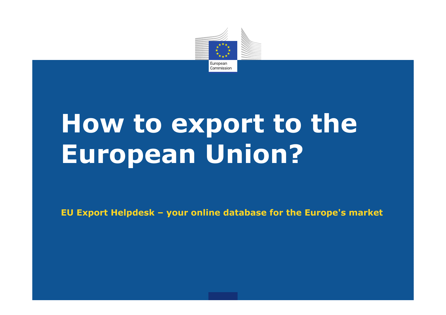

# How to export to the **European Union?**

**EU Export Helpdesk – your online database for the Europe's market**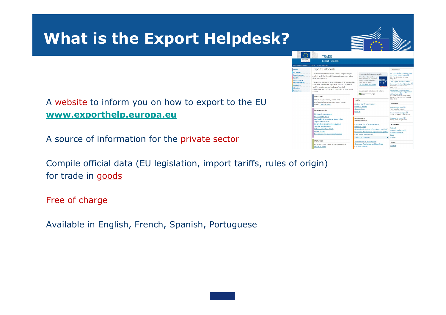

Compile official data (EU legislation, import tariffs, rules of origin) for trade in goods

Free of charge

Available in English, French, Spanish, Portuguese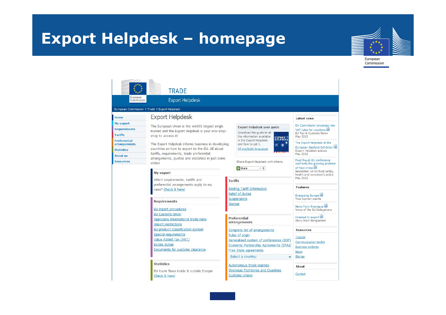# **Export Helpdesk – homepage**



|                                                                                                                                                               | <b>TRADE</b>                                                                                                                                                                                                                                                                                                                                                                                                                                                                                                                                                                                                                                        |                                                                                                                                                                                                          |                                                                                                                                                                                                                                                                                                             |  |
|---------------------------------------------------------------------------------------------------------------------------------------------------------------|-----------------------------------------------------------------------------------------------------------------------------------------------------------------------------------------------------------------------------------------------------------------------------------------------------------------------------------------------------------------------------------------------------------------------------------------------------------------------------------------------------------------------------------------------------------------------------------------------------------------------------------------------------|----------------------------------------------------------------------------------------------------------------------------------------------------------------------------------------------------------|-------------------------------------------------------------------------------------------------------------------------------------------------------------------------------------------------------------------------------------------------------------------------------------------------------------|--|
| European<br>Commission                                                                                                                                        | <b>Export Helpdesk</b>                                                                                                                                                                                                                                                                                                                                                                                                                                                                                                                                                                                                                              |                                                                                                                                                                                                          |                                                                                                                                                                                                                                                                                                             |  |
| European Commission > Trade > Export Helpdesk                                                                                                                 |                                                                                                                                                                                                                                                                                                                                                                                                                                                                                                                                                                                                                                                     |                                                                                                                                                                                                          |                                                                                                                                                                                                                                                                                                             |  |
| Home<br>My export<br><b>Requirements</b><br><b>Tariffs</b><br><b>Preferential</b><br>arrangements<br><b>Statistics</b><br><b>About us</b><br><b>Resources</b> | <b>Export Helpdesk</b><br>The European Union is the world's largest single<br>Export Helpdesk user guide<br>market and the Export Helpdesk is your one-stop-<br>Download the guide to all<br>shop to access it!<br>the information available<br><b>EXPORT</b><br><b>HELPDESK</b><br>in the Export Helpdesk<br>The Export Helpdesk informs business in developing<br>and how to get it.<br>countries on how to export to the EU. All about<br>All available languages<br>tariffs, requirements, trade preferential<br>arrangements, quotas and statistics in just some<br>Share Export Helpdesk with others:<br>clicks!<br><b>C</b> Share<br>$\circ$ |                                                                                                                                                                                                          | <b>Latest news</b><br>EU Commission proposes new<br>VAT rules for vouchers 国<br>EU Tax & Customs News<br>May 2012<br>The Export Helpdesk at the<br>European Seafood Exhibition<br><b>Export Helpdesk actions</b><br>May 2012<br>Food fraud: EU conference<br>confronts the growing problem<br>of food crime |  |
|                                                                                                                                                               | My export<br>Which requirements, tariffs and<br>preferential arrangements apply to my<br>case? Check it here!<br><b>Requirements</b><br>EU import procedures<br><b>EU Customs Union</b><br>Applicable international trade rules                                                                                                                                                                                                                                                                                                                                                                                                                     | <b>Tariffs</b><br><b>Binding Tariff Information</b><br>Relief of duties<br>Suspensions<br>Quotas<br>Preferential                                                                                         | Newsletter on EU food safety,<br>health and consumer's policy<br>May 2012<br><b>Features</b><br>Energising Europe<br>Your opinion counts<br>News from Nicaragua<br>Voice of the EU Delegations<br>Dressed to export 圖                                                                                       |  |
|                                                                                                                                                               | <b>Import restrictions</b><br>EU product classification system<br><b>Special requirements</b><br>Value Added Tax (VAT)<br><b>Excise duties</b><br>Documents for customs clearance                                                                                                                                                                                                                                                                                                                                                                                                                                                                   | arrangements<br>Complete list of arrangements<br>Rules of origin<br>Generalised system of preferences (GSP)<br>Economic Partnership Agreements (EPAs)<br>Free trade agreements<br>Select a country:<br>۰ | Story from Bangladesh<br><b>Resources</b><br>Tutorial<br><b>Communication toolkit</b><br><b>Business contacts</b><br><b>News</b><br><b>Stories</b>                                                                                                                                                          |  |
|                                                                                                                                                               | <b>Statistics</b><br>EU trade flows inside & outside Europe<br>Check it here!                                                                                                                                                                                                                                                                                                                                                                                                                                                                                                                                                                       | Autonomous trade regimes<br>Overseas Territories and Countries<br><b>Customs Unions</b>                                                                                                                  | About<br>Contact                                                                                                                                                                                                                                                                                            |  |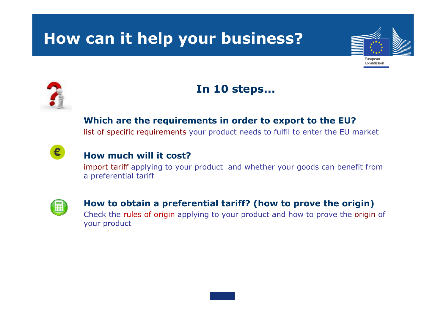# **How can it help your business?**





€

### **In 10 steps...**

**Which are the requirements in order to export to the EU?**

list of specific requirements your product needs to fulfil to enter the EU market

### **How much will it cost?**

import tariff applying to your product and whether your goods can benefit from a preferential tariff



### **How to obtain a preferential tariff? (how to prove the origin)** Check the rules of origin applying to your product and how to prove the origin of your product

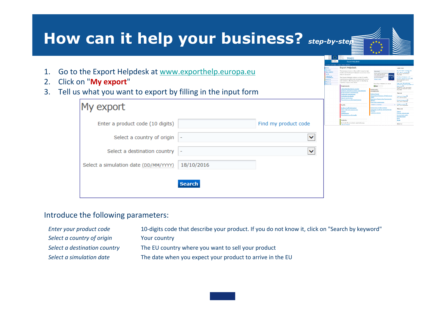| How can it help your business? step-by-ster                                                                                                         |                                       |               |                      |                                                                                                                                                                                                                                                                                                                                                                                                                                                                                                                       |                                                                                                                                          |                                                                                                                                               |  |  |
|-----------------------------------------------------------------------------------------------------------------------------------------------------|---------------------------------------|---------------|----------------------|-----------------------------------------------------------------------------------------------------------------------------------------------------------------------------------------------------------------------------------------------------------------------------------------------------------------------------------------------------------------------------------------------------------------------------------------------------------------------------------------------------------------------|------------------------------------------------------------------------------------------------------------------------------------------|-----------------------------------------------------------------------------------------------------------------------------------------------|--|--|
| Go to the Export Helpdesk at www.exporthelp.europa.eu<br>Click on "My export"<br>Tell us what you want to export by filling in the input form<br>3. |                                       |               |                      | TRADE<br><b>Export Helpdesk</b><br><b>Export Helpdesk</b><br>The European Union is the vorid's largest single<br>narket and the Export Helpdesk is your ene-stop<br>thi assos of gold<br>The Export Helpdesk informs on the EU tariffs.<br>sirements, preferential arrangements, quota:<br>and statistics affecting business in developing<br>ntries in just some clicks<br><b>Inderstanding the EU market</b><br>anitary and phytoxanitary require<br>larketing standards<br>port restrictions<br>os & tricks an EU. | britain control of<br>and Liade piefer<br>Shaw Provid He<br><b>B</b> Staw<br><b>Drafarantis</b><br>ules of origin<br>meralised Scheme of | <b>Barrio Hall</b><br>walette- on EU food as fet<br>Treding with Bayer <b>6</b> )<br>Your division at Let <b>a</b>                            |  |  |
|                                                                                                                                                     | My export                             |               |                      | <b>Binding Tariff Informatio</b><br>Duty relief and auspensis<br><b>Astidumoin</b><br>Tips & tricks on EU tarif                                                                                                                                                                                                                                                                                                                                                                                                       | nomaux trade regime<br>erseas countries and ter                                                                                          | l <mark>a</mark> ting for <b>solutions <sup>2</sup><br/>larr from Philippines</b><br>ary from Benn<br>First your product)<br>annuviation tech |  |  |
|                                                                                                                                                     | Enter a product code (10 digits)      |               | Find my product code | Statistic<br>EU trade flows inside & outside Europe                                                                                                                                                                                                                                                                                                                                                                                                                                                                   |                                                                                                                                          | About up                                                                                                                                      |  |  |
|                                                                                                                                                     | Select a country of origin            |               | $\checkmark$         |                                                                                                                                                                                                                                                                                                                                                                                                                                                                                                                       |                                                                                                                                          |                                                                                                                                               |  |  |
|                                                                                                                                                     | Select a destination country          |               | $\checkmark$         |                                                                                                                                                                                                                                                                                                                                                                                                                                                                                                                       |                                                                                                                                          |                                                                                                                                               |  |  |
|                                                                                                                                                     | Select a simulation date (DD/MM/YYYY) | 18/10/2016    |                      |                                                                                                                                                                                                                                                                                                                                                                                                                                                                                                                       |                                                                                                                                          |                                                                                                                                               |  |  |
|                                                                                                                                                     |                                       | <b>Search</b> |                      |                                                                                                                                                                                                                                                                                                                                                                                                                                                                                                                       |                                                                                                                                          |                                                                                                                                               |  |  |
|                                                                                                                                                     | Introduce the following parameters:   |               |                      |                                                                                                                                                                                                                                                                                                                                                                                                                                                                                                                       |                                                                                                                                          |                                                                                                                                               |  |  |

| Enter your product code      | 10-digits code that describe your product. If you do not know it, click on "Search by keyword" |
|------------------------------|------------------------------------------------------------------------------------------------|
| Select a country of origin   | Your country                                                                                   |
| Select a destination country | The EU country where you want to sell your product                                             |
| Select a simulation date     | The date when you expect your product to arrive in the EU                                      |
|                              |                                                                                                |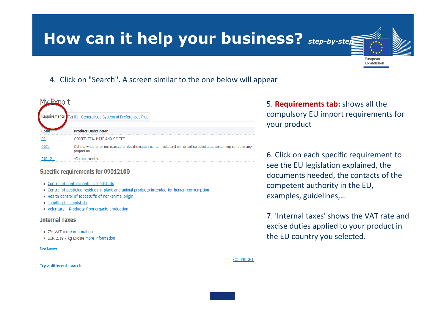### **How can it help your business?** *step-by-step*

4. Click on "Search". A screen similar to the one below will appear

|                                                                                                                      | irements Tariffs   Generalised System of Preferences Plus |  |  |
|----------------------------------------------------------------------------------------------------------------------|-----------------------------------------------------------|--|--|
|                                                                                                                      | <b>Product Description</b>                                |  |  |
|                                                                                                                      | COFFEE, TEA, MATÉ AND SPICES                              |  |  |
| Coffee, whether or not roasted or decaffeinated; coffee husks and skins; coffee substitutes containing coffee in any |                                                           |  |  |
|                                                                                                                      | -Coffee, roasted                                          |  |  |

#### Specific requirements for 09012100

- Control of contaminants in foodstuffs
- Control of pesticide residues in plant and animal products intended for human consumption
- · Health control of foodstuffs of non-animal origin
- Labelling for foodstuffs
- Voluntary Products from organic production

#### **Internal Taxes**

- 7% VAT more information
- EUR 2.19 / kg Excise more information

#### **Disclaimer**

#### Try a different search

5. **Requirements tab:** shows all the compulsory EU import requirements for your product

European Commission

6. Click on each specific requirement to see the EU legislation explained, the documents needed, the contacts of the competent authority in the EU, examples, guidelines,…

7. 'Internal taxes' shows the VAT rate and excise duties applied to your product in the EU country you selected.

**COPYRIGHT**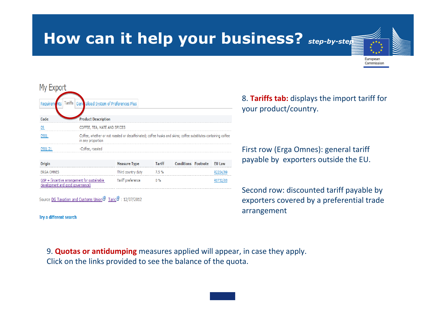## **How can it help your business?** *step-by-step*



Try a different search

8. **Tariffs tab:** displays the import tariff for your product/country.

European Commission

First row (Erga Omnes): general tariff payable by exporters outside the EU.

Second row: discounted tariff payable by exporters covered by a preferential trade arrangement

9. **Quotas or antidumping** measures applied will appear, in case they apply. Click on the links provided to see the balance of the quota.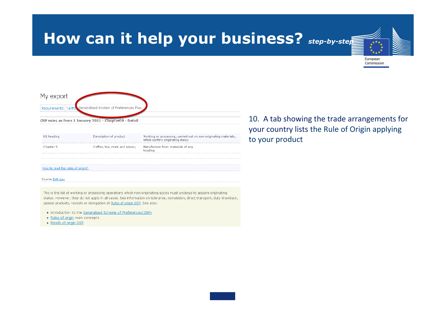### **How can it help your business?** *step-by-step*



| HS heading                   | Description of product        | Working or processing, carried out on non-originating materials,<br>which confers originating status |
|------------------------------|-------------------------------|------------------------------------------------------------------------------------------------------|
|                              | Coffee, tea, maté and spices; | Manufacture from materials of any<br>headinc                                                         |
|                              |                               |                                                                                                      |
| to read the rules of origin? |                               |                                                                                                      |

Source EUR-Lex

This is the list of working or processing operations which non-originating goods must undergo to acquire originating status. However, they do not apply in all cases. See information on tolerance, cumulation, direct transport, duty drawback, special products, vessels or derogation at Rules of origin GSP. See also:

- introduction to the Generalised Scheme of Preferences (GSP)
- Rules of origin main concepts
- Proofs of origin GSP

10. A tab showing the trade arrangements for your country lists the Rule of Origin applying to your product

European Commission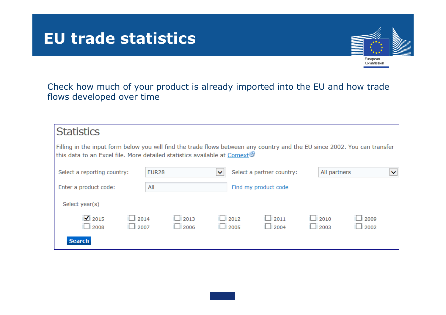### **EU trade statistics**



Check how much of your product is already imported into the EU and how trade flows developed over time

| Filling in the input form below you will find the trade flows between any country and the EU since 2002. You can transfer<br>this data to an Excel file. More detailed statistics available at Comext <sup>3</sup> |                            |                           |                            |              |                            |   |
|--------------------------------------------------------------------------------------------------------------------------------------------------------------------------------------------------------------------|----------------------------|---------------------------|----------------------------|--------------|----------------------------|---|
| <b>EUR28</b>                                                                                                                                                                                                       | $\checkmark$               | Select a partner country: |                            | All partners |                            | ◡ |
| All                                                                                                                                                                                                                |                            | Find my product code      |                            |              |                            |   |
|                                                                                                                                                                                                                    |                            |                           |                            |              |                            |   |
| $\Box$ 2013<br>$\Box$ 2006                                                                                                                                                                                         |                            | 2011<br>2004              |                            |              | 2009<br>2002               |   |
|                                                                                                                                                                                                                    | $\Box$ 2014<br>$\Box$ 2007 |                           | $\Box$ 2012<br>$\Box$ 2005 |              | $\Box$ 2010<br>$\Box$ 2003 |   |